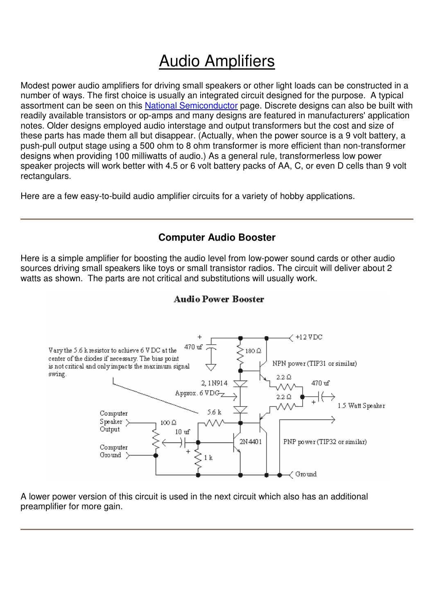# Audio Amplifiers

Modest power audio amplifiers for driving small speakers or other light loads can be constructed in a number of ways. The first choice is usually an integrated circuit designed for the purpose. A typical assortment can be seen on this National Semiconductor page. Discrete designs can also be built with readily available transistors or op-amps and many designs are featured in manufacturers' application notes. Older designs employed audio interstage and output transformers but the cost and size of these parts has made them all but disappear. (Actually, when the power source is a 9 volt battery, a push-pull output stage using a 500 ohm to 8 ohm transformer is more efficient than non-transformer designs when providing 100 milliwatts of audio.) As a general rule, transformerless low power speaker projects will work better with 4.5 or 6 volt battery packs of AA, C, or even D cells than 9 volt rectangulars.

Here are a few easy-to-build audio amplifier circuits for a variety of hobby applications.

### **Computer Audio Booster**

Here is a simple amplifier for boosting the audio level from low-power sound cards or other audio sources driving small speakers like toys or small transistor radios. The circuit will deliver about 2 watts as shown. The parts are not critical and substitutions will usually work.

#### **Audio Power Booster**



A lower power version of this circuit is used in the next circuit which also has an additional preamplifier for more gain.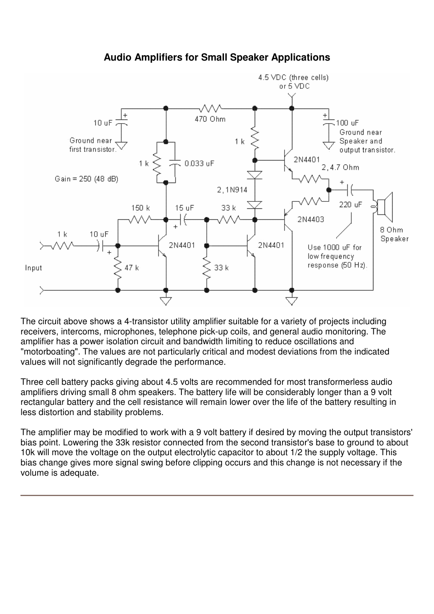

## **Audio Amplifiers for Small Speaker Applications**

The circuit above shows a 4-transistor utility amplifier suitable for a variety of projects including receivers, intercoms, microphones, telephone pick-up coils, and general audio monitoring. The amplifier has a power isolation circuit and bandwidth limiting to reduce oscillations and "motorboating". The values are not particularly critical and modest deviations from the indicated values will not significantly degrade the performance.

Three cell battery packs giving about 4.5 volts are recommended for most transformerless audio amplifiers driving small 8 ohm speakers. The battery life will be considerably longer than a 9 volt rectangular battery and the cell resistance will remain lower over the life of the battery resulting in less distortion and stability problems.

The amplifier may be modified to work with a 9 volt battery if desired by moving the output transistors' bias point. Lowering the 33k resistor connected from the second transistor's base to ground to about 10k will move the voltage on the output electrolytic capacitor to about 1/2 the supply voltage. This bias change gives more signal swing before clipping occurs and this change is not necessary if the volume is adequate.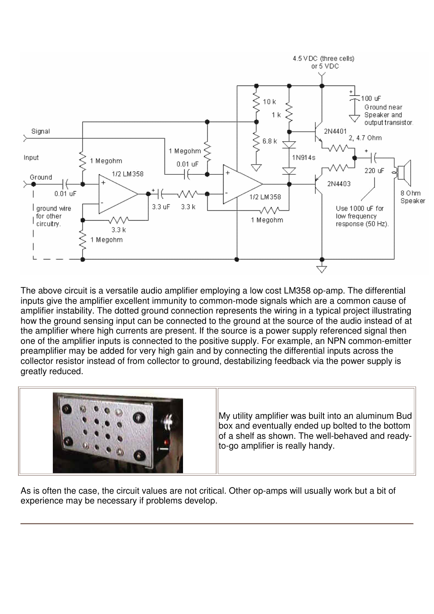

The above circuit is a versatile audio amplifier employing a low cost LM358 op-amp. The differential inputs give the amplifier excellent immunity to common-mode signals which are a common cause of amplifier instability. The dotted ground connection represents the wiring in a typical project illustrating how the ground sensing input can be connected to the ground at the source of the audio instead of at the amplifier where high currents are present. If the source is a power supply referenced signal then one of the amplifier inputs is connected to the positive supply. For example, an NPN common-emitter preamplifier may be added for very high gain and by connecting the differential inputs across the collector resistor instead of from collector to ground, destabilizing feedback via the power supply is greatly reduced.



As is often the case, the circuit values are not critical. Other op-amps will usually work but a bit of experience may be necessary if problems develop.